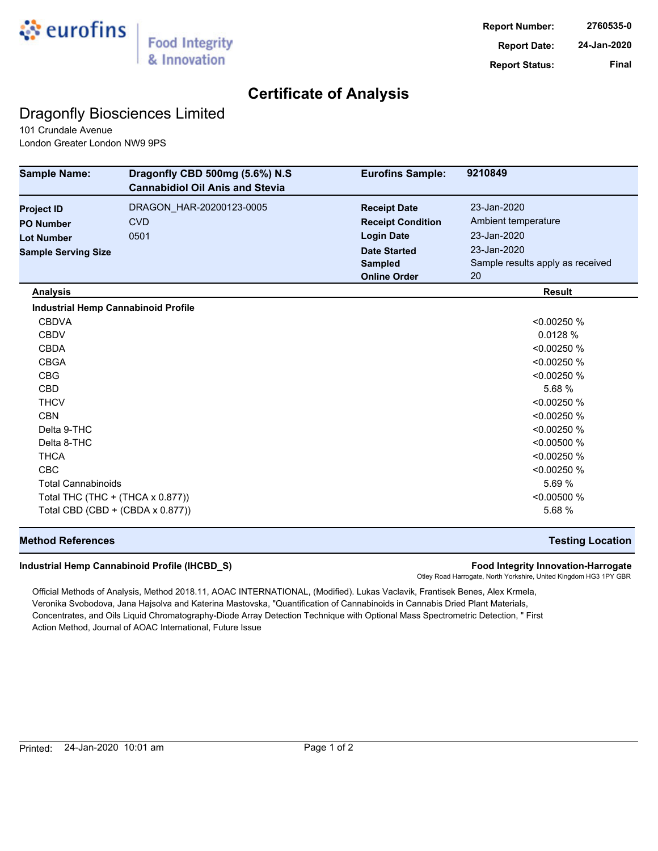

## **Certificate of Analysis**

## Dragonfly Biosciences Limited

101 Crundale Avenue London Greater London NW9 9PS

| <b>Sample Name:</b>                        | Dragonfly CBD 500mg (5.6%) N.S<br><b>Cannabidiol Oil Anis and Stevia</b> | <b>Eurofins Sample:</b>  | 9210849                          |
|--------------------------------------------|--------------------------------------------------------------------------|--------------------------|----------------------------------|
| <b>Project ID</b>                          | DRAGON_HAR-20200123-0005                                                 | <b>Receipt Date</b>      | 23-Jan-2020                      |
| <b>PO Number</b>                           | <b>CVD</b>                                                               | <b>Receipt Condition</b> | Ambient temperature              |
| <b>Lot Number</b>                          | 0501                                                                     | <b>Login Date</b>        | 23-Jan-2020                      |
| <b>Sample Serving Size</b>                 |                                                                          | <b>Date Started</b>      | 23-Jan-2020                      |
|                                            |                                                                          | <b>Sampled</b>           | Sample results apply as received |
|                                            |                                                                          | <b>Online Order</b>      | 20                               |
| <b>Analysis</b>                            |                                                                          |                          | <b>Result</b>                    |
| <b>Industrial Hemp Cannabinoid Profile</b> |                                                                          |                          |                                  |
| <b>CBDVA</b>                               |                                                                          |                          | < 0.00250 %                      |
| <b>CBDV</b>                                |                                                                          |                          | 0.0128 %                         |
| <b>CBDA</b>                                |                                                                          |                          | < 0.00250 %                      |
| <b>CBGA</b>                                |                                                                          |                          | < 0.00250 %                      |
| <b>CBG</b>                                 |                                                                          |                          | < 0.00250 %                      |
| <b>CBD</b>                                 |                                                                          |                          | 5.68 %                           |
| <b>THCV</b>                                |                                                                          |                          | < 0.00250 %                      |
| <b>CBN</b>                                 |                                                                          |                          | < 0.00250 %                      |
| Delta 9-THC                                |                                                                          |                          | < 0.00250 %                      |
| Delta 8-THC                                |                                                                          |                          | < 0.00500 %                      |
| <b>THCA</b>                                |                                                                          |                          | < 0.00250 %                      |
| <b>CBC</b>                                 |                                                                          |                          | < 0.00250 %                      |
| <b>Total Cannabinoids</b>                  |                                                                          |                          | 5.69 %                           |
| Total THC (THC + (THCA x 0.877))           |                                                                          |                          | < 0.00500 %                      |
| Total CBD (CBD + (CBDA x 0.877))           |                                                                          |                          | 5.68 %                           |

### **Method References Testing Location**

#### **Industrial Hemp Cannabinoid Profile (IHCBD\_S) Food Integrity Innovation-Harrogate**

Otley Road Harrogate, North Yorkshire, United Kingdom HG3 1PY GBR

Official Methods of Analysis, Method 2018.11, AOAC INTERNATIONAL, (Modified). Lukas Vaclavik, Frantisek Benes, Alex Krmela, Veronika Svobodova, Jana Hajsolva and Katerina Mastovska, "Quantification of Cannabinoids in Cannabis Dried Plant Materials, Concentrates, and Oils Liquid Chromatography-Diode Array Detection Technique with Optional Mass Spectrometric Detection, " First Action Method, Journal of AOAC International, Future Issue